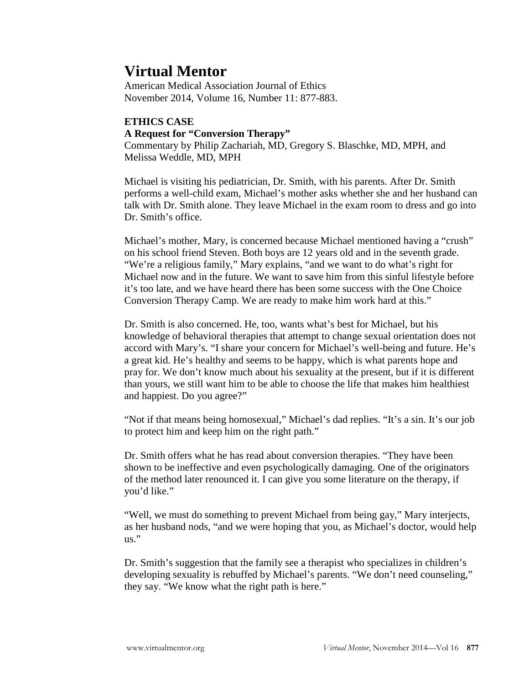# **Virtual Mentor**

American Medical Association Journal of Ethics November 2014, Volume 16, Number 11: 877-883.

## **ETHICS CASE**

## **A Request for "Conversion Therapy"**

Commentary by Philip Zachariah, MD, Gregory S. Blaschke, MD, MPH, and Melissa Weddle, MD, MPH

Michael is visiting his pediatrician, Dr. Smith, with his parents. After Dr. Smith performs a well-child exam, Michael's mother asks whether she and her husband can talk with Dr. Smith alone. They leave Michael in the exam room to dress and go into Dr. Smith's office.

Michael's mother, Mary, is concerned because Michael mentioned having a "crush" on his school friend Steven. Both boys are 12 years old and in the seventh grade. "We're a religious family," Mary explains, "and we want to do what's right for Michael now and in the future. We want to save him from this sinful lifestyle before it's too late, and we have heard there has been some success with the One Choice Conversion Therapy Camp. We are ready to make him work hard at this."

Dr. Smith is also concerned. He, too, wants what's best for Michael, but his knowledge of behavioral therapies that attempt to change sexual orientation does not accord with Mary's. "I share your concern for Michael's well-being and future. He's a great kid. He's healthy and seems to be happy, which is what parents hope and pray for. We don't know much about his sexuality at the present, but if it is different than yours, we still want him to be able to choose the life that makes him healthiest and happiest. Do you agree?"

"Not if that means being homosexual," Michael's dad replies. "It's a sin. It's our job to protect him and keep him on the right path."

Dr. Smith offers what he has read about conversion therapies. "They have been shown to be ineffective and even psychologically damaging. One of the originators of the method later renounced it. I can give you some literature on the therapy, if you'd like."

"Well, we must do something to prevent Michael from being gay," Mary interjects, as her husband nods, "and we were hoping that you, as Michael's doctor, would help  $\overline{\mathbf{u}}$ .

Dr. Smith's suggestion that the family see a therapist who specializes in children's developing sexuality is rebuffed by Michael's parents. "We don't need counseling," they say. "We know what the right path is here."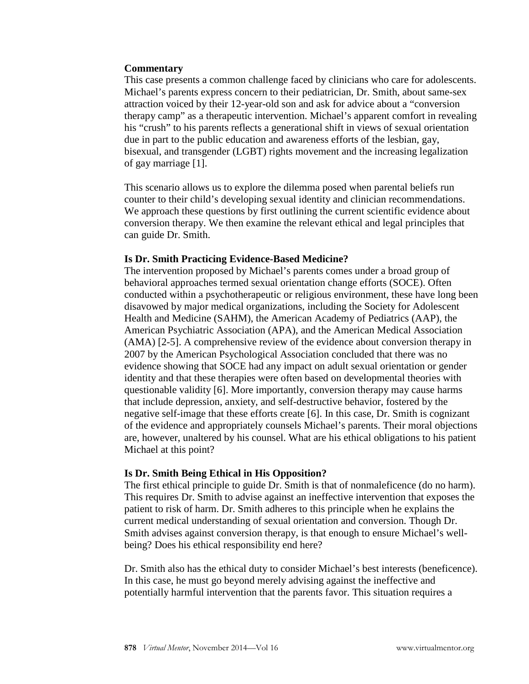#### **Commentary**

This case presents a common challenge faced by clinicians who care for adolescents. Michael's parents express concern to their pediatrician, Dr. Smith, about same-sex attraction voiced by their 12-year-old son and ask for advice about a "conversion therapy camp" as a therapeutic intervention. Michael's apparent comfort in revealing his "crush" to his parents reflects a generational shift in views of sexual orientation due in part to the public education and awareness efforts of the lesbian, gay, bisexual, and transgender (LGBT) rights movement and the increasing legalization of gay marriage [1].

This scenario allows us to explore the dilemma posed when parental beliefs run counter to their child's developing sexual identity and clinician recommendations. We approach these questions by first outlining the current scientific evidence about conversion therapy. We then examine the relevant ethical and legal principles that can guide Dr. Smith.

## **Is Dr. Smith Practicing Evidence-Based Medicine?**

The intervention proposed by Michael's parents comes under a broad group of behavioral approaches termed sexual orientation change efforts (SOCE). Often conducted within a psychotherapeutic or religious environment, these have long been disavowed by major medical organizations, including the Society for Adolescent Health and Medicine (SAHM), the American Academy of Pediatrics (AAP), the American Psychiatric Association (APA), and the American Medical Association (AMA) [2-5]. A comprehensive review of the evidence about conversion therapy in 2007 by the American Psychological Association concluded that there was no evidence showing that SOCE had any impact on adult sexual orientation or gender identity and that these therapies were often based on developmental theories with questionable validity [6]. More importantly, conversion therapy may cause harms that include depression, anxiety, and self-destructive behavior, fostered by the negative self-image that these efforts create [6]. In this case, Dr. Smith is cognizant of the evidence and appropriately counsels Michael's parents. Their moral objections are, however, unaltered by his counsel. What are his ethical obligations to his patient Michael at this point?

## **Is Dr. Smith Being Ethical in His Opposition?**

The first ethical principle to guide Dr. Smith is that of nonmaleficence (do no harm). This requires Dr. Smith to advise against an ineffective intervention that exposes the patient to risk of harm. Dr. Smith adheres to this principle when he explains the current medical understanding of sexual orientation and conversion. Though Dr. Smith advises against conversion therapy, is that enough to ensure Michael's wellbeing? Does his ethical responsibility end here?

Dr. Smith also has the ethical duty to consider Michael's best interests (beneficence). In this case, he must go beyond merely advising against the ineffective and potentially harmful intervention that the parents favor. This situation requires a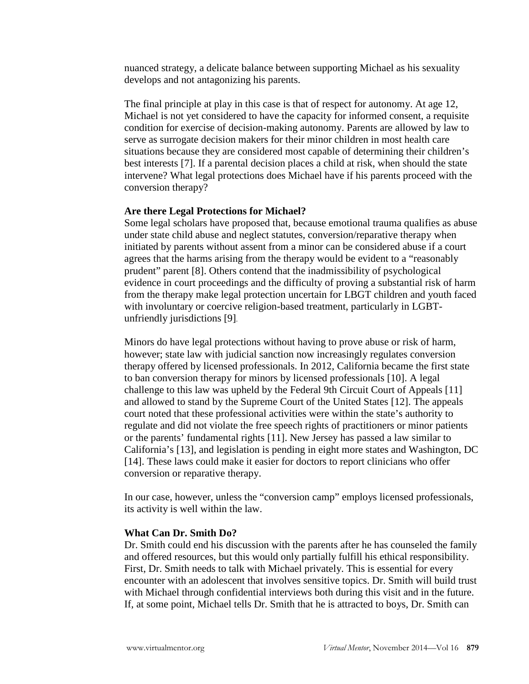nuanced strategy, a delicate balance between supporting Michael as his sexuality develops and not antagonizing his parents.

The final principle at play in this case is that of respect for autonomy. At age 12, Michael is not yet considered to have the capacity for informed consent, a requisite condition for exercise of decision-making autonomy. Parents are allowed by law to serve as surrogate decision makers for their minor children in most health care situations because they are considered most capable of determining their children's best interests [7]. If a parental decision places a child at risk, when should the state intervene? What legal protections does Michael have if his parents proceed with the conversion therapy?

## **Are there Legal Protections for Michael?**

Some legal scholars have proposed that, because emotional trauma qualifies as abuse under state child abuse and neglect statutes, conversion/reparative therapy when initiated by parents without assent from a minor can be considered abuse if a court agrees that the harms arising from the therapy would be evident to a "reasonably prudent" parent [8]. Others contend that the inadmissibility of psychological evidence in court proceedings and the difficulty of proving a substantial risk of harm from the therapy make legal protection uncertain for LBGT children and youth faced with involuntary or coercive religion-based treatment, particularly in LGBTunfriendly jurisdictions [9].

Minors do have legal protections without having to prove abuse or risk of harm, however; state law with judicial sanction now increasingly regulates conversion therapy offered by licensed professionals. In 2012, California became the first state to ban conversion therapy for minors by licensed professionals [10]. A legal challenge to this law was upheld by the Federal 9th Circuit Court of Appeals [11] and allowed to stand by the Supreme Court of the United States [12]. The appeals court noted that these professional activities were within the state's authority to regulate and did not violate the free speech rights of practitioners or minor patients or the parents' fundamental rights [11]. New Jersey has passed a law similar to California's [13], and legislation is pending in eight more states and Washington, DC [14]. These laws could make it easier for doctors to report clinicians who offer conversion or reparative therapy.

In our case, however, unless the "conversion camp" employs licensed professionals, its activity is well within the law.

#### **What Can Dr. Smith Do?**

Dr. Smith could end his discussion with the parents after he has counseled the family and offered resources, but this would only partially fulfill his ethical responsibility. First, Dr. Smith needs to talk with Michael privately. This is essential for every encounter with an adolescent that involves sensitive topics. Dr. Smith will build trust with Michael through confidential interviews both during this visit and in the future. If, at some point, Michael tells Dr. Smith that he is attracted to boys, Dr. Smith can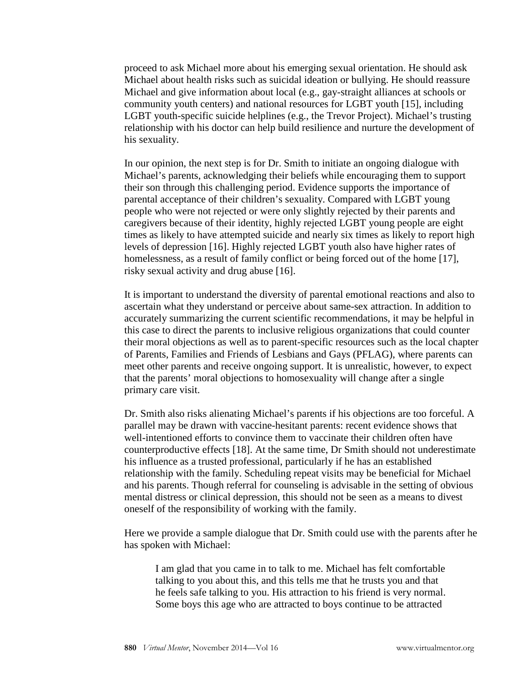proceed to ask Michael more about his emerging sexual orientation. He should ask Michael about health risks such as suicidal ideation or bullying. He should reassure Michael and give information about local (e.g., gay-straight alliances at schools or community youth centers) and national resources for LGBT youth [15], including LGBT youth-specific suicide helplines (e.g., the Trevor Project). Michael's trusting relationship with his doctor can help build resilience and nurture the development of his sexuality.

In our opinion, the next step is for Dr. Smith to initiate an ongoing dialogue with Michael's parents, acknowledging their beliefs while encouraging them to support their son through this challenging period. Evidence supports the importance of parental acceptance of their children's sexuality. Compared with LGBT young people who were not rejected or were only slightly rejected by their parents and caregivers because of their identity, highly rejected LGBT young people are eight times as likely to have attempted suicide and nearly six times as likely to report high levels of depression [16]. Highly rejected LGBT youth also have higher rates of homelessness, as a result of family conflict or being forced out of the home [17], risky sexual activity and drug abuse [16].

It is important to understand the diversity of parental emotional reactions and also to ascertain what they understand or perceive about same-sex attraction. In addition to accurately summarizing the current scientific recommendations, it may be helpful in this case to direct the parents to inclusive religious organizations that could counter their moral objections as well as to parent-specific resources such as the local chapter of Parents, Families and Friends of Lesbians and Gays (PFLAG), where parents can meet other parents and receive ongoing support. It is unrealistic, however, to expect that the parents' moral objections to homosexuality will change after a single primary care visit.

Dr. Smith also risks alienating Michael's parents if his objections are too forceful. A parallel may be drawn with vaccine-hesitant parents: recent evidence shows that well-intentioned efforts to convince them to vaccinate their children often have counterproductive effects [18]. At the same time, Dr Smith should not underestimate his influence as a trusted professional, particularly if he has an established relationship with the family. Scheduling repeat visits may be beneficial for Michael and his parents. Though referral for counseling is advisable in the setting of obvious mental distress or clinical depression, this should not be seen as a means to divest oneself of the responsibility of working with the family.

Here we provide a sample dialogue that Dr. Smith could use with the parents after he has spoken with Michael:

I am glad that you came in to talk to me. Michael has felt comfortable talking to you about this, and this tells me that he trusts you and that he feels safe talking to you. His attraction to his friend is very normal. Some boys this age who are attracted to boys continue to be attracted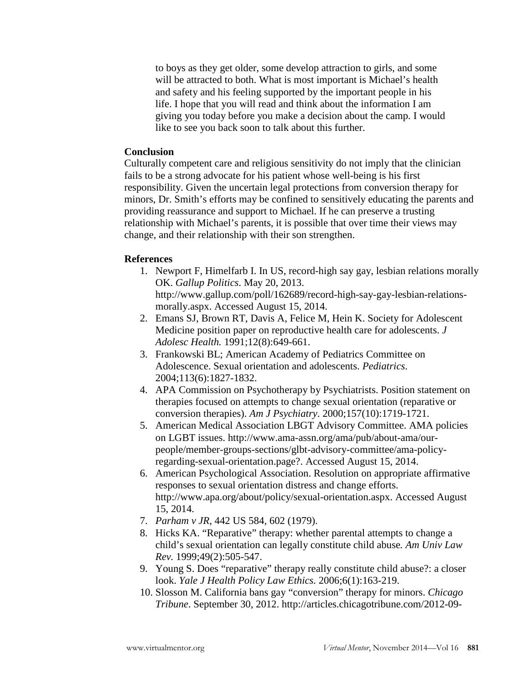to boys as they get older, some develop attraction to girls, and some will be attracted to both. What is most important is Michael's health and safety and his feeling supported by the important people in his life. I hope that you will read and think about the information I am giving you today before you make a decision about the camp. I would like to see you back soon to talk about this further.

## **Conclusion**

Culturally competent care and religious sensitivity do not imply that the clinician fails to be a strong advocate for his patient whose well-being is his first responsibility. Given the uncertain legal protections from conversion therapy for minors, Dr. Smith's efforts may be confined to sensitively educating the parents and providing reassurance and support to Michael. If he can preserve a trusting relationship with Michael's parents, it is possible that over time their views may change, and their relationship with their son strengthen.

#### **References**

1. Newport F, Himelfarb I. In US, record-high say gay, lesbian relations morally OK. *Gallup Politics*. May 20, 2013.

http://www.gallup.com/poll/162689/record-high-say-gay-lesbian-relationsmorally.aspx. Accessed August 15, 2014.

- 2. Emans SJ, Brown RT, Davis A, Felice M, Hein K. Society for Adolescent Medicine position paper on reproductive health care for adolescents. *J Adolesc Health.* 1991;12(8):649-661.
- 3. Frankowski BL; American Academy of Pediatrics Committee on Adolescence. Sexual orientation and adolescents. *Pediatrics*. 2004;113(6):1827-1832.
- 4. APA Commission on Psychotherapy by Psychiatrists. Position statement on therapies focused on attempts to change sexual orientation (reparative or conversion therapies). *Am J Psychiatry*. 2000;157(10):1719-1721.
- 5. American Medical Association LBGT Advisory Committee. AMA policies on LGBT issues. http://www.ama-assn.org/ama/pub/about-ama/ourpeople/member-groups-sections/glbt-advisory-committee/ama-policyregarding-sexual-orientation.page?. Accessed August 15, 2014.
- 6. American Psychological Association. Resolution on appropriate affirmative responses to sexual orientation distress and change efforts. http://www.apa.org/about/policy/sexual-orientation.aspx. Accessed August 15, 2014.
- 7. *Parham v JR*, 442 US 584, 602 (1979).
- 8. Hicks KA. "Reparative" therapy: whether parental attempts to change a child's sexual orientation can legally constitute child abuse*. Am Univ Law Rev.* 1999;49(2):505-547.
- 9. Young S. Does "reparative" therapy really constitute child abuse?: a closer look. *Yale J Health Policy Law Ethics.* 2006;6(1):163-219.
- 10. Slosson M. California bans gay "conversion" therapy for minors. *Chicago Tribune*. September 30, 2012. http://articles.chicagotribune.com/2012-09-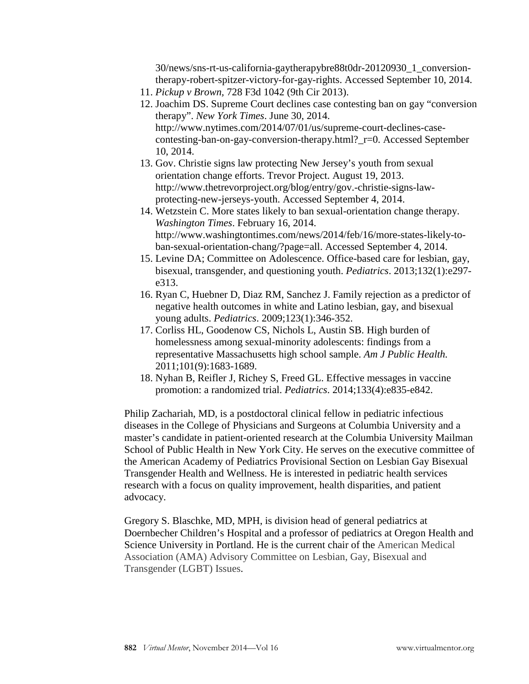30/news/sns-rt-us-california-gaytherapybre88t0dr-20120930\_1\_conversiontherapy-robert-spitzer-victory-for-gay-rights. Accessed September 10, 2014.

- 11. *Pickup v Brown,* 728 F3d 1042 (9th Cir 2013).
- 12. Joachim DS. Supreme Court declines case contesting ban on gay "conversion therapy". *New York Times*. June 30, 2014. http://www.nytimes.com/2014/07/01/us/supreme-court-declines-casecontesting-ban-on-gay-conversion-therapy.html?\_r=0. Accessed September 10, 2014.
- 13. Gov. Christie signs law protecting New Jersey's youth from sexual orientation change efforts. Trevor Project. August 19, 2013. http://www.thetrevorproject.org/blog/entry/gov.-christie-signs-lawprotecting-new-jerseys-youth. Accessed September 4, 2014.
- 14. Wetzstein C. More states likely to ban sexual-orientation change therapy. *Washington Times*. February 16, 2014. http://www.washingtontimes.com/news/2014/feb/16/more-states-likely-toban-sexual-orientation-chang/?page=all. Accessed September 4, 2014.
- 15. Levine DA; Committee on Adolescence. Office-based care for lesbian, gay, bisexual, transgender, and questioning youth. *Pediatrics*. 2013;132(1):e297 e313.
- 16. Ryan C, Huebner D, Diaz RM, Sanchez J. Family rejection as a predictor of negative health outcomes in white and Latino lesbian, gay, and bisexual young adults. *Pediatrics*. 2009;123(1):346-352.
- 17. Corliss HL, Goodenow CS, Nichols L, Austin SB. High burden of homelessness among sexual-minority adolescents: findings from a representative Massachusetts high school sample. *Am J Public Health.*  2011;101(9):1683-1689.
- 18. Nyhan B, Reifler J, Richey S, Freed GL. Effective messages in vaccine promotion: a randomized trial. *Pediatrics*. 2014;133(4):e835-e842.

Philip Zachariah, MD, is a postdoctoral clinical fellow in pediatric infectious diseases in the College of Physicians and Surgeons at Columbia University and a master's candidate in patient-oriented research at the Columbia University Mailman School of Public Health in New York City. He serves on the executive committee of the American Academy of Pediatrics Provisional Section on Lesbian Gay Bisexual Transgender Health and Wellness. He is interested in pediatric health services research with a focus on quality improvement, health disparities, and patient advocacy.

Gregory S. Blaschke, MD, MPH, is division head of general pediatrics at Doernbecher Children's Hospital and a professor of pediatrics at Oregon Health and Science University in Portland. He is the current chair of the American Medical Association (AMA) Advisory Committee on Lesbian, Gay, Bisexual and Transgender (LGBT) Issues.